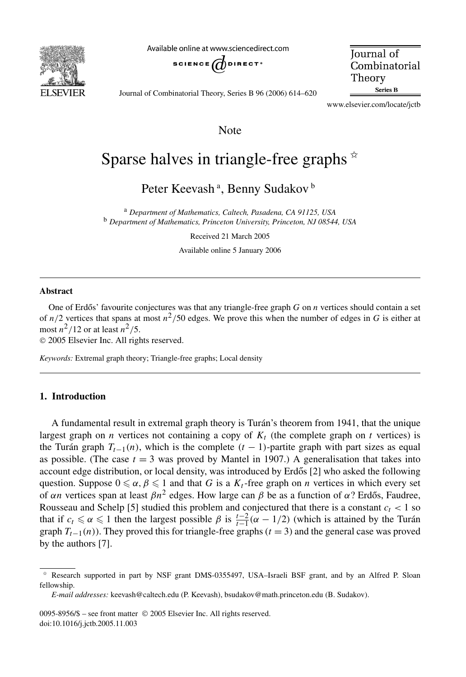

Available online at www.sciencedirect.com



**Journal** of Combinatorial Theory Series B

Journal of Combinatorial Theory, Series B 96 (2006) 614–620

www.elsevier.com/locate/jctb

## Note

# Sparse halves in triangle-free graphs  $*$

Peter Keevash ª, Benny Sudakov <sup>b</sup>

<sup>a</sup> *Department of Mathematics, Caltech, Pasadena, CA 91125, USA* <sup>b</sup> *Department of Mathematics, Princeton University, Princeton, NJ 08544, USA*

Received 21 March 2005

Available online 5 January 2006

#### **Abstract**

One of Erdős' favourite conjectures was that any triangle-free graph G on *n* vertices should contain a set of  $n/2$  vertices that spans at most  $n^2/50$  edges. We prove this when the number of edges in *G* is either at most  $n^2/12$  or at least  $n^2/5$ .

© 2005 Elsevier Inc. All rights reserved.

*Keywords:* Extremal graph theory; Triangle-free graphs; Local density

#### **1. Introduction**

A fundamental result in extremal graph theory is Turán's theorem from 1941, that the unique largest graph on *n* vertices not containing a copy of  $K_t$  (the complete graph on *t* vertices) is the Turán graph  $T_{t-1}(n)$ , which is the complete  $(t-1)$ -partite graph with part sizes as equal as possible. (The case  $t = 3$  was proved by Mantel in 1907.) A generalisation that takes into account edge distribution, or local density, was introduced by Erdős  $[2]$  who asked the following question. Suppose  $0 \le \alpha$ ,  $\beta \le 1$  and that *G* is a  $K_t$ -free graph on *n* vertices in which every set of *αn* vertices span at least  $βn^2$  edges. How large can  $β$  be as a function of *α*? Erdős, Faudree, Rousseau and Schelp [5] studied this problem and conjectured that there is a constant  $c_t < 1$  so that if  $c_t \leq \alpha \leq 1$  then the largest possible  $\beta$  is  $\frac{t-2}{t-1}(\alpha - 1/2)$  (which is attained by the Turán graph  $T_{t-1}(n)$ ). They proved this for triangle-free graphs ( $t = 3$ ) and the general case was proved by the authors [7].

0095-8956/\$ – see front matter © 2005 Elsevier Inc. All rights reserved. doi:10.1016/j.jctb.2005.11.003

<sup>✩</sup> Research supported in part by NSF grant DMS-0355497, USA–Israeli BSF grant, and by an Alfred P. Sloan fellowship.

*E-mail addresses:* keevash@caltech.edu (P. Keevash), bsudakov@math.princeton.edu (B. Sudakov).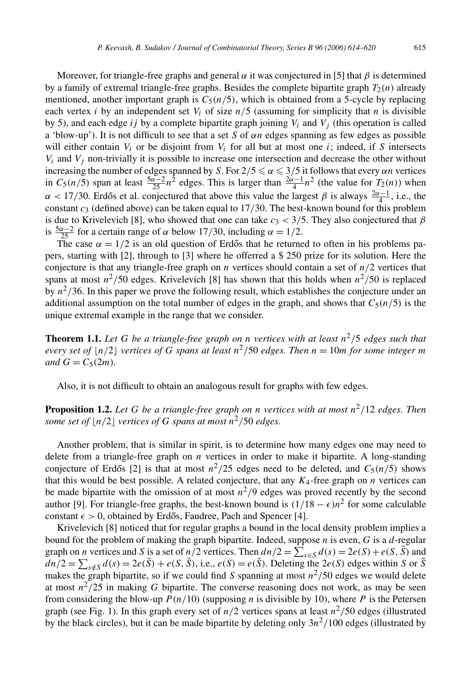Moreover, for triangle-free graphs and general  $\alpha$  it was conjectured in [5] that  $\beta$  is determined by a family of extremal triangle-free graphs. Besides the complete bipartite graph  $T_2(n)$  already mentioned, another important graph is  $C_5(n/5)$ , which is obtained from a 5-cycle by replacing each vertex *i* by an independent set  $V_i$  of size  $n/5$  (assuming for simplicity that *n* is divisible by 5), and each edge *ij* by a complete bipartite graph joining *Vi* and *Vj* (this operation is called a 'blow-up'). It is not difficult to see that a set *S* of *αn* edges spanning as few edges as possible will either contain  $V_i$  or be disjoint from  $V_i$  for all but at most one  $i$ ; indeed, if *S* intersects  $V_i$  and  $V_j$  non-trivially it is possible to increase one intersection and decrease the other without increasing the number of edges spanned by *S*. For  $2/5 \le \alpha \le 3/5$  it follows that every  $\alpha n$  vertices in  $C_5(n/5)$  span at least  $\frac{5\alpha-2}{25}n^2$  edges. This is larger than  $\frac{2\alpha-1}{4}n^2$  (the value for *T*<sub>2</sub>(*n*)) when  $\alpha$  < 17/30. Erdős et al. conjectured that above this value the largest  $\beta$  is always  $\frac{2\alpha-1}{4}$ , i.e., the constant *c*<sup>3</sup> (defined above) can be taken equal to 17*/*30. The best-known bound for this problem is due to Krivelevich [8], who showed that one can take  $c_3 < 3/5$ . They also conjectured that  $\beta$ is  $\frac{5\alpha-2}{25}$  for a certain range of  $\alpha$  below 17/30, including  $\alpha = 1/2$ .

The case  $\alpha = 1/2$  is an old question of Erdős that he returned to often in his problems papers, starting with [2], through to [3] where he offerred a \$ 250 prize for its solution. Here the conjecture is that any triangle-free graph on  $n$  vertices should contain a set of  $n/2$  vertices that spans at most  $n^2/50$  edges. Krivelevich [8] has shown that this holds when  $n^2/50$  is replaced by  $n^2/36$ . In this paper we prove the following result, which establishes the conjecture under an additional assumption on the total number of edges in the graph, and shows that  $C_5(n/5)$  is the unique extremal example in the range that we consider.

**Theorem 1.1.** Let G be a triangle-free graph on *n* vertices with at least  $n^2/5$  edges such that *every set of*  $\lfloor n/2 \rfloor$  *vertices of G spans at least*  $n^2/50$  *edges. Then*  $n = 10$ *m for some integer m and*  $G = C_5(2m)$ *.* 

Also, it is not difficult to obtain an analogous result for graphs with few edges.

**Proposition 1.2.** Let G be a triangle-free graph on *n* vertices with at most  $n^2/12$  edges. Then *some set of*  $\lfloor n/2 \rfloor$  *vertices of G spans at most*  $n^2/50$  *edges.* 

Another problem, that is similar in spirit, is to determine how many edges one may need to delete from a triangle-free graph on *n* vertices in order to make it bipartite. A long-standing conjecture of Erdős [2] is that at most  $n^2/25$  edges need to be deleted, and  $C_5(n/5)$  shows that this would be best possible. A related conjecture, that any  $K_4$ -free graph on *n* vertices can be made bipartite with the omission of at most  $n^2/9$  edges was proved recently by the second author [9]. For triangle-free graphs, the best-known bound is  $(1/18 - \epsilon)n^2$  for some calculable constant  $\epsilon > 0$ , obtained by Erdős, Faudree, Pach and Spencer [4].

Krivelevich [8] noticed that for regular graphs a bound in the local density problem implies a bound for the problem of making the graph bipartite. Indeed, suppose *n* is even, *G* is a *d*-regular graph on *n* vertices and *S* is a set of  $n/2$  vertices. Then  $dn/2 = \sum_{s \in S} d(s) = 2e(S) + e(S, S)$  and  $dn/2 = \sum_{s \notin S} d(s) = 2e(S) + e(S, S)$ , i.e.,  $e(S) = e(S)$ . Deleting the 2*e(S)* edges within *S* or *S* makes the graph bipartite, so if we could find *S* spanning at most  $n^2/50$  edges we would delete at most  $n^2/25$  in making G bipartite. The converse reasoning does not work, as may be seen from considering the blow-up  $P(n/10)$  (supposing *n* is divisible by 10), where *P* is the Petersen graph (see Fig. 1). In this graph every set of  $n/2$  vertices spans at least  $n^2/50$  edges (illustrated by the black circles), but it can be made bipartite by deleting only  $3n^2/100$  edges (illustrated by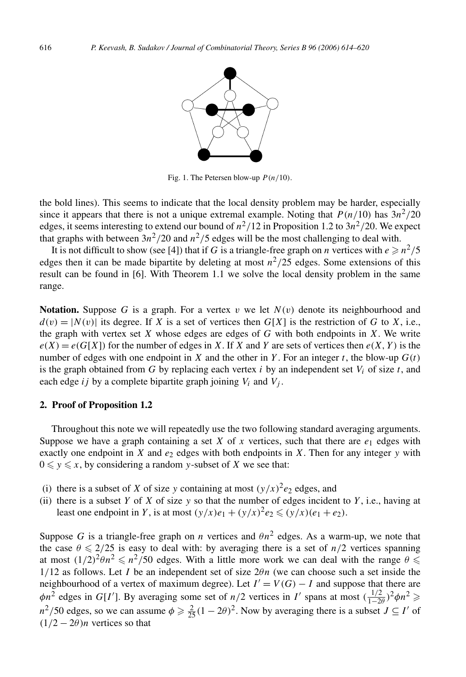

Fig. 1. The Petersen blow-up *P (n/*10*)*.

the bold lines). This seems to indicate that the local density problem may be harder, especially since it appears that there is not a unique extremal example. Noting that  $P(n/10)$  has  $3n^2/20$ edges, it seems interesting to extend our bound of  $n^2/12$  in Proposition 1.2 to  $3n^2/20$ . We expect that graphs with between  $3n^2/20$  and  $n^2/5$  edges will be the most challenging to deal with.

It is not difficult to show (see [4]) that if *G* is a triangle-free graph on *n* vertices with  $e \ge n^2/5$ edges then it can be made bipartite by deleting at most  $n^2/25$  edges. Some extensions of this result can be found in [6]. With Theorem 1.1 we solve the local density problem in the same range.

**Notation.** Suppose *G* is a graph. For a vertex *v* we let  $N(v)$  denote its neighbourhood and  $d(v) = |N(v)|$  its degree. If *X* is a set of vertices then  $G[X]$  is the restriction of *G* to *X*, i.e., the graph with vertex set *X* whose edges are edges of *G* with both endpoints in *X*. We write  $e(X) = e(G[X])$  for the number of edges in *X*. If *X* and *Y* are sets of vertices then  $e(X, Y)$  is the number of edges with one endpoint in *X* and the other in *Y*. For an integer *t*, the blow-up  $G(t)$ is the graph obtained from  $G$  by replacing each vertex  $i$  by an independent set  $V_i$  of size  $t$ , and each edge *ij* by a complete bipartite graph joining  $V_i$  and  $V_j$ .

#### **2. Proof of Proposition 1.2**

Throughout this note we will repeatedly use the two following standard averaging arguments. Suppose we have a graph containing a set *X* of *x* vertices, such that there are  $e_1$  edges with exactly one endpoint in *X* and  $e_2$  edges with both endpoints in *X*. Then for any integer *y* with  $0 \leq y \leq x$ , by considering a random *y*-subset of *X* we see that:

- (i) there is a subset of *X* of size *y* containing at most  $(y/x)^2e_2$  edges, and
- (ii) there is a subset  $Y$  of  $X$  of size  $y$  so that the number of edges incident to  $Y$ , i.e., having at least one endpoint in *Y*, is at most  $(y/x)e_1 + (y/x)^2 e_2 \le (y/x)(e_1 + e_2)$ .

Suppose *G* is a triangle-free graph on *n* vertices and  $\theta n^2$  edges. As a warm-up, we note that the case  $\theta \leq 2/25$  is easy to deal with: by averaging there is a set of  $n/2$  vertices spanning at most  $(1/2)^2 \theta n^2 \leq n^2/50$  edges. With a little more work we can deal with the range  $\theta \leq$ 1*/*12 as follows. Let *I* be an independent set of size 2*θn* (we can choose such a set inside the neighbourhood of a vertex of maximum degree). Let  $I' = V(G) - I$  and suppose that there are  $\phi n^2$  edges in *G*[*I'*]. By averaging some set of *n/*2 vertices in *I'* spans at most  $(\frac{1/2}{1-2\theta})^2 \phi n^2 \ge$  $n^2/50$  edges, so we can assume  $\phi \ge \frac{2}{25}(1-2\theta)^2$ . Now by averaging there is a subset  $J \subseteq I'$  of  $(1/2 - 2\theta)n$  vertices so that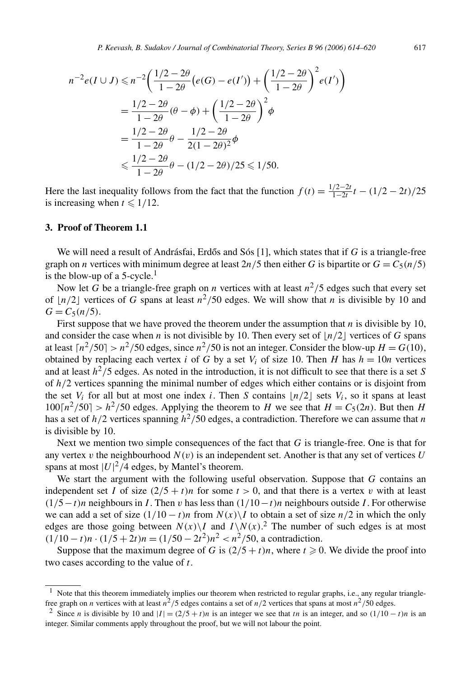$$
n^{-2}e(I \cup J) \le n^{-2} \left( \frac{1/2 - 2\theta}{1 - 2\theta} \left( e(G) - e(I') \right) + \left( \frac{1/2 - 2\theta}{1 - 2\theta} \right)^2 e(I') \right)
$$
  
=  $\frac{1/2 - 2\theta}{1 - 2\theta} (\theta - \phi) + \left( \frac{1/2 - 2\theta}{1 - 2\theta} \right)^2 \phi$   
=  $\frac{1/2 - 2\theta}{1 - 2\theta} \theta - \frac{1/2 - 2\theta}{2(1 - 2\theta)^2} \phi$   
 $\le \frac{1/2 - 2\theta}{1 - 2\theta} \theta - (1/2 - 2\theta)/25 \le 1/50.$ 

Here the last inequality follows from the fact that the function  $f(t) = \frac{1/2-2t}{1-2t}t - (1/2-2t)/25$ is increasing when  $t \leq 1/12$ .

### **3. Proof of Theorem 1.1**

We will need a result of Andrásfai, Erdős and Sós [1], which states that if G is a triangle-free graph on *n* vertices with minimum degree at least  $2n/5$  then either *G* is bipartite or  $G = C_5(n/5)$ is the blow-up of a 5-cycle. $<sup>1</sup>$ </sup>

Now let *G* be a triangle-free graph on *n* vertices with at least  $n^2/5$  edges such that every set of  $\lfloor n/2 \rfloor$  vertices of *G* spans at least  $n^2/50$  edges. We will show that *n* is divisible by 10 and  $G = C_5(n/5)$ .

First suppose that we have proved the theorem under the assumption that *n* is divisible by 10, and consider the case when *n* is not divisible by 10. Then every set of  $\lfloor n/2 \rfloor$  vertices of *G* spans at least  $\lceil n^2/50 \rceil > n^2/50$  edges, since  $n^2/50$  is not an integer. Consider the blow-up  $H = G(10)$ , obtained by replacing each vertex *i* of *G* by a set  $V_i$  of size 10. Then *H* has  $h = 10n$  vertices and at least  $h^2/5$  edges. As noted in the introduction, it is not difficult to see that there is a set *S* of *h/*2 vertices spanning the minimal number of edges which either contains or is disjoint from the set  $V_i$  for all but at most one index *i*. Then *S* contains  $\lfloor n/2 \rfloor$  sets  $V_i$ , so it spans at least  $100\left[n^2/50\right] > h^2/50$  edges. Applying the theorem to *H* we see that  $H = C_5(2n)$ . But then *H* has a set of  $h/2$  vertices spanning  $h^2/50$  edges, a contradiction. Therefore we can assume that *n* is divisible by 10.

Next we mention two simple consequences of the fact that *G* is triangle-free. One is that for any vertex  $v$  the neighbourhood  $N(v)$  is an independent set. Another is that any set of vertices  $U$ spans at most  $|U|^2/4$  edges, by Mantel's theorem.

We start the argument with the following useful observation. Suppose that *G* contains an independent set *I* of size  $(2/5 + t)n$  for some  $t > 0$ , and that there is a vertex *v* with at least *(*1*/*5−*t)n* neighbours in *I* . Then *v* has less than *(*1*/*10−*t)n* neighbours outside *I* . For otherwise we can add a set of size  $(1/10 - t)n$  from  $N(x)\setminus I$  to obtain a set of size  $n/2$  in which the only edges are those going between  $N(x)\setminus I$  and  $I\setminus N(x)$ .<sup>2</sup> The number of such edges is at most  $(1/10 - t)n \cdot (1/5 + 2t)n = (1/50 - 2t^2)n^2 < n^2/50$ , a contradiction.

Suppose that the maximum degree of *G* is  $(2/5 + t)n$ , where  $t \ge 0$ . We divide the proof into two cases according to the value of *t*.

 $1$  Note that this theorem immediately implies our theorem when restricted to regular graphs, i.e., any regular trianglefree graph on *n* vertices with at least  $n^2/5$  edges contains a set of  $n/2$  vertices that spans at most  $n^2/50$  edges.

<sup>&</sup>lt;sup>2</sup> Since *n* is divisible by 10 and  $|I| = (2/5 + t)n$  is an integer we see that *tn* is an integer, and so  $(1/10 - t)n$  is an integer. Similar comments apply throughout the proof, but we will not labour the point.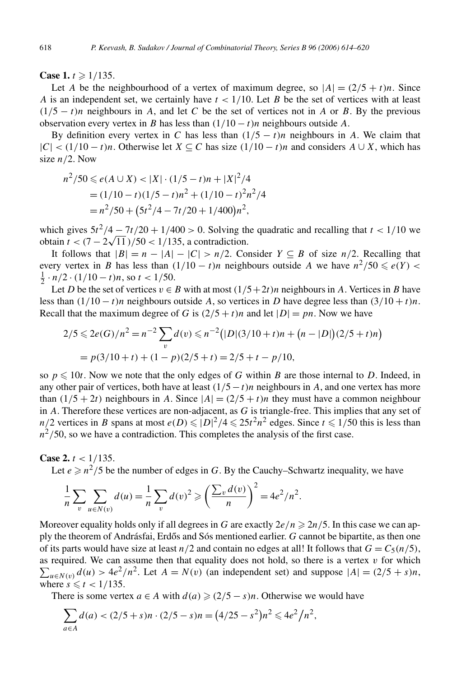**Case 1.**  $t \ge 1/135$ .

Let *A* be the neighbourhood of a vertex of maximum degree, so  $|A| = (2/5 + t)n$ . Since *A* is an independent set, we certainly have *t <* 1*/*10. Let *B* be the set of vertices with at least  $(1/5 - t)n$  neighbours in *A*, and let *C* be the set of vertices not in *A* or *B*. By the previous observation every vertex in *B* has less than  $(1/10 - t)n$  neighbours outside *A*.

By definition every vertex in *C* has less than  $(1/5 - t)n$  neighbours in *A*. We claim that  $|C|$  < (1/10 − *t*)*n*. Otherwise let *X* ⊆ *C* has size  $(1/10 - t)n$  and considers *A* ∪ *X*, which has size *n/*2. Now

$$
n^2/50 \le e(A \cup X) < |X| \cdot (1/5 - t)n + |X|^2/4
$$
\n
$$
= (1/10 - t)(1/5 - t)n^2 + (1/10 - t)^2 n^2/4
$$
\n
$$
= n^2/50 + (5t^2/4 - 7t/20 + 1/400)n^2,
$$

which gives  $5t^2/4 - 7t/20 + 1/400 > 0$ . Solving the quadratic and recalling that  $t < 1/10$  we  $\frac{1}{2}$   $\frac{1}{20}$   $\frac{1}{20}$   $\frac{1}{20}$   $\frac{1}{20}$   $\frac{1}{20}$   $\frac{1}{20}$   $\frac{1}{20}$   $\frac{1}{20}$   $\frac{1}{20}$   $\frac{1}{20}$   $\frac{1}{20}$   $\frac{1}{20}$   $\frac{1}{20}$   $\frac{1}{20}$   $\frac{1}{20}$   $\frac{1}{20}$   $\frac{1}{20}$   $\frac{1}{20}$   $\frac{1}{20}$   $\$ 

It follows that  $|B| = n - |A| - |C| > n/2$ . Consider  $Y \subseteq B$  of size  $n/2$ . Recalling that every vertex in *B* has less than  $(1/10 - t)n$  neighbours outside *A* we have  $n^2/50 \le e(Y)$  <  $\frac{1}{2} \cdot n/2 \cdot (1/10 - t)n$ , so  $t < 1/50$ .

Let *D* be the set of vertices  $v \in B$  with at most  $(1/5+2t)n$  neighbours in *A*. Vertices in *B* have less than  $(1/10 - t)n$  neighbours outside A, so vertices in D have degree less than  $(3/10 + t)n$ . Recall that the maximum degree of *G* is  $(2/5 + t)n$  and let  $|D| = pn$ . Now we have

$$
2/5 \le 2e(G)/n^2 = n^{-2} \sum_{v} d(v) \le n^{-2} (|D|(3/10+t)n + (n-|D|)(2/5+t)n)
$$
  
=  $p(3/10+t) + (1-p)(2/5+t) = 2/5 + t - p/10,$ 

so  $p \le 10t$ . Now we note that the only edges of *G* within *B* are those internal to *D*. Indeed, in any other pair of vertices, both have at least *(*1*/*5−*t)n* neighbours in *A*, and one vertex has more than  $(1/5 + 2t)$  neighbours in *A*. Since  $|A| = (2/5 + t)n$  they must have a common neighbour in *A*. Therefore these vertices are non-adjacent, as *G* is triangle-free. This implies that any set of  $n/2$  vertices in *B* spans at most  $e(D) \leq D^2/4 \leq 25t^2n^2$  edges. Since  $t \leq 1/50$  this is less than  $n^2/50$ , so we have a contradiction. This completes the analysis of the first case.

**Case 2.** *t <* 1*/*135.

Let  $e \ge n^2/5$  be the number of edges in *G*. By the Cauchy–Schwartz inequality, we have

$$
\frac{1}{n}\sum_{v} \sum_{u \in N(v)} d(u) = \frac{1}{n}\sum_{v} d(v)^2 \ge \left(\frac{\sum_{v} d(v)}{n}\right)^2 = 4e^2/n^2.
$$

Moreover equality holds only if all degrees in *G* are exactly  $2e/n \ge 2n/5$ . In this case we can apply the theorem of Andrásfai, Erdős and Sós mentioned earlier. *G* cannot be bipartite, as then one of its parts would have size at least  $n/2$  and contain no edges at all! It follows that  $G = C_5(n/5)$ ,  $\sum_{u \in N(v)} d(u) > 4e^2/n^2$ . Let  $A = N(v)$  (an independent set) and suppose  $|A| = (2/5 + s)n$ , as required. We can assume then that equality does not hold, so there is a vertex  $v$  for which where  $s \leq t < 1/135$ .

There is some vertex  $a \in A$  with  $d(a) \geq (2/5 - s)n$ . Otherwise we would have

$$
\sum_{a \in A} d(a) < (2/5 + s)n \cdot (2/5 - s)n = (4/25 - s^2)n^2 \leq 4e^2/n^2,
$$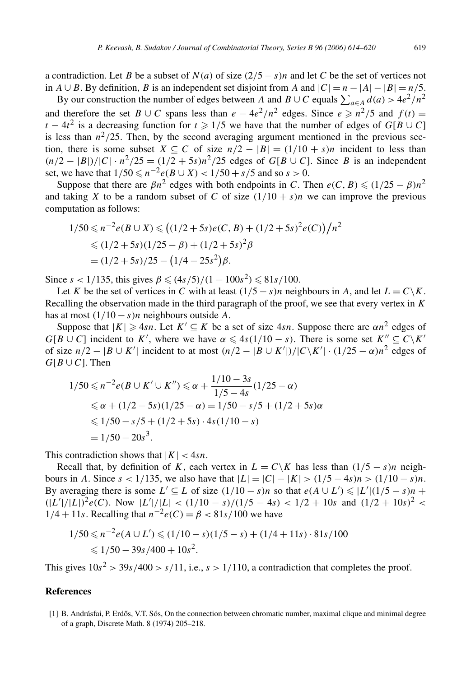a contradiction. Let *B* be a subset of  $N(a)$  of size  $(2/5 - s)n$  and let *C* be the set of vertices not in *A* ∪ *B*. By definition, *B* is an independent set disjoint from *A* and  $|C| = n - |A| - |B| = n/5$ .

By our construction the number of edges between *A* and *B* ∪ *C* equals  $\sum_{a \in A} d(a) > 4e^2/n^2$ and therefore the set *B* ∪ *C* spans less than  $e - 4e^2/n^2$  edges. Since  $e \ge n^2/5$  and  $f(t) =$ *t* − 4*t*<sup>2</sup> is a decreasing function for *t*  $\geq$  1/5 we have that the number of edges of *G*[*B* ∪ *C*] is less than  $n^2/25$ . Then, by the second averaging argument mentioned in the previous section, there is some subset  $X \subseteq C$  of size  $n/2 - |B| = (1/10 + s)n$  incident to less than  $(n/2 - |B|)/|C| \cdot n^2/25 = (1/2 + 5s)n^2/25$  edges of *G*[*B* ∪ *C*]. Since *B* is an independent set, we have that  $1/50 \le n^{-2}e(B \cup X) < 1/50 + s/5$  and so  $s > 0$ .

Suppose that there are  $\beta n^2$  edges with both endpoints in *C*. Then  $e(C, B) \leq (1/25 - \beta)n^2$ and taking *X* to be a random subset of *C* of size  $(1/10 + s)n$  we can improve the previous computation as follows:

$$
1/50 \le n^{-2}e(B \cup X) \le \left(\frac{1}{2} + 5s\right)e(C, B) + \frac{1}{2} + 5s^2e(C)\right)/n^2
$$
  
\n
$$
\le \frac{1}{2} + 5s\left(\frac{1}{2} - \beta\right) + \frac{1}{2} + 5s^2\beta
$$
  
\n
$$
= \frac{1}{2} + 5s^2/25 - \frac{1}{4} - 25s^2\beta.
$$

Since  $s < 1/135$ , this gives  $\beta \le (4s/5)/(1 - 100s^2) \le 81s/100$ .

Let *K* be the set of vertices in *C* with at least  $(1/5 - s)n$  neighbours in *A*, and let  $L = C\backslash K$ . Recalling the observation made in the third paragraph of the proof, we see that every vertex in *K* has at most  $(1/10 - s)n$  neighbours outside A.

Suppose that  $|K| \ge 4sn$ . Let  $K' \subseteq K$  be a set of size 4*sn*. Suppose there are  $\alpha n^2$  edges of  $G[B \cup C]$  incident to *K*<sup>'</sup>, where we have  $\alpha \leq 4s(1/10 - s)$ . There is some set  $K'' \subseteq C\backslash K'$ of size  $n/2 - |B \cup K'|$  incident to at most  $(n/2 - |B \cup K'|)/|C \setminus K'| \cdot (1/25 - \alpha)n^2$  edges of  $G[B \cup C]$ . Then

$$
1/50 \le n^{-2}e(B \cup K' \cup K'') \le \alpha + \frac{1/10 - 3s}{1/5 - 4s}(1/25 - \alpha)
$$
  
\n
$$
\le \alpha + (1/2 - 5s)(1/25 - \alpha) = 1/50 - s/5 + (1/2 + 5s)\alpha
$$
  
\n
$$
\le 1/50 - s/5 + (1/2 + 5s) \cdot 4s(1/10 - s)
$$
  
\n
$$
= 1/50 - 20s^3.
$$

This contradiction shows that  $|K| < 4sn$ .

Recall that, by definition of *K*, each vertex in  $L = C\ K$  has less than  $(1/5 - s)n$  neighbours in *A*. Since  $s < 1/135$ , we also have that  $|L| = |C| - |K| > (1/5 - 4s)n > (1/10 - s)n$ . By averaging there is some  $L' \subseteq L$  of size  $(1/10 - s)n$  so that  $e(A \cup L') \le |L'|(1/5 - s)n +$  $(|L'|/|L|)^2 e(C)$ . Now  $|L'|/|L| < (1/10 - s)/(1/5 - 4s) < 1/2 + 10s$  and  $(1/2 + 10s)^2 <$ <sup>1</sup>*/*<sup>4</sup> <sup>+</sup> <sup>11</sup>*s*. Recalling that *<sup>n</sup>*−2*e(C)* <sup>=</sup> *β <* <sup>81</sup>*s/*100 we have

$$
1/50 \le n^{-2}e(A \cup L') \le (1/10 - s)(1/5 - s) + (1/4 + 11s) \cdot 81s/100
$$
  
  $\le 1/50 - 39s/400 + 10s^2$ .

This gives  $10s^2$  *>* 39*s*/400 *> s*/11, i.e., *s* > 1/110, a contradiction that completes the proof.

#### **References**

[1] B. Andrásfai, P. Erdős, V.T. Sós, On the connection between chromatic number, maximal clique and minimal degree of a graph, Discrete Math. 8 (1974) 205–218.